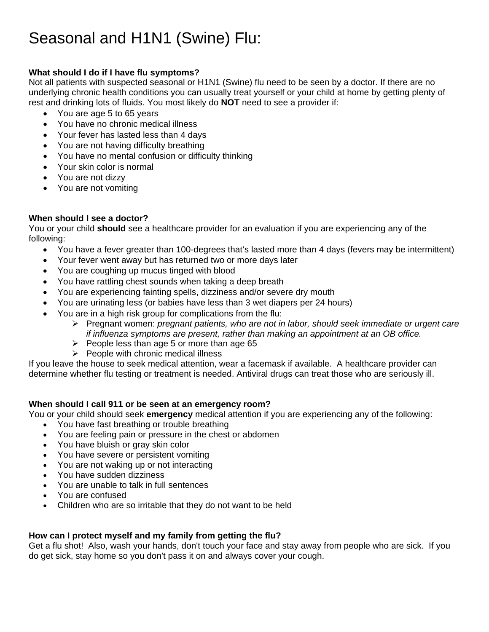# Seasonal and H1N1 (Swine) Flu:

# **What should I do if I have flu symptoms?**

Not all patients with suspected seasonal or H1N1 (Swine) flu need to be seen by a doctor. If there are no underlying chronic health conditions you can usually treat yourself or your child at home by getting plenty of rest and drinking lots of fluids. You most likely do **NOT** need to see a provider if:

- You are age 5 to 65 years
- You have no chronic medical illness
- Your fever has lasted less than 4 days
- You are not having difficulty breathing
- You have no mental confusion or difficulty thinking
- Your skin color is normal
- You are not dizzy
- You are not vomiting

# **When should I see a doctor?**

You or your child **should** see a healthcare provider for an evaluation if you are experiencing any of the following:

- You have a fever greater than 100-degrees that's lasted more than 4 days (fevers may be intermittent)
- Your fever went away but has returned two or more days later
- You are coughing up mucus tinged with blood
- You have rattling chest sounds when taking a deep breath
- You are experiencing fainting spells, dizziness and/or severe dry mouth
- You are urinating less (or babies have less than 3 wet diapers per 24 hours)
- You are in a high risk group for complications from the flu:
	- ¾ Pregnant women: *pregnant patients, who are not in labor, should seek immediate or urgent care if influenza symptoms are present, rather than making an appointment at an OB office.*
	- $\triangleright$  People less than age 5 or more than age 65
	- $\triangleright$  People with chronic medical illness

If you leave the house to seek medical attention, wear a facemask if available. A healthcare provider can determine whether flu testing or treatment is needed. Antiviral drugs can treat those who are seriously ill.

# **When should I call 911 or be seen at an emergency room?**

You or your child should seek **emergency** medical attention if you are experiencing any of the following:

- You have fast breathing or trouble breathing
- You are feeling pain or pressure in the chest or abdomen
- You have bluish or gray skin color
- You have severe or persistent vomiting
- You are not waking up or not interacting
- You have sudden dizziness
- You are unable to talk in full sentences
- You are confused
- Children who are so irritable that they do not want to be held

# **How can I protect myself and my family from getting the flu?**

Get a flu shot! Also, wash your hands, don't touch your face and stay away from people who are sick. If you do get sick, stay home so you don't pass it on and always cover your cough.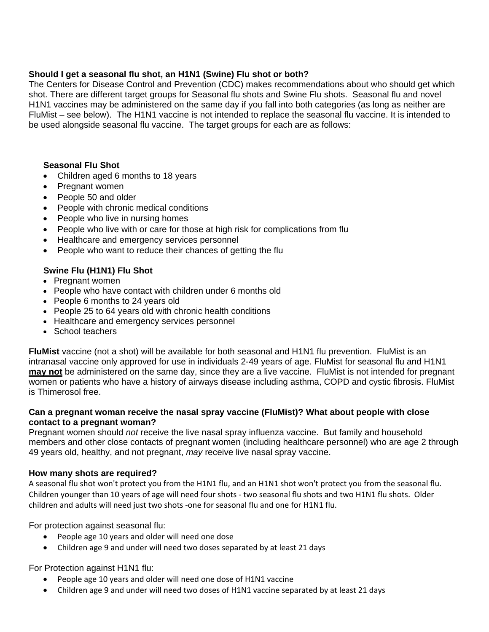## **Should I get a seasonal flu shot, an H1N1 (Swine) Flu shot or both?**

The Centers for Disease Control and Prevention (CDC) makes recommendations about who should get which shot. There are different target groups for Seasonal flu shots and Swine Flu shots. Seasonal flu and novel H1N1 vaccines may be administered on the same day if you fall into both categories (as long as neither are FluMist – see below). The H1N1 vaccine is not intended to replace the seasonal flu vaccine. It is intended to be used alongside seasonal flu vaccine. The target groups for each are as follows:

## **Seasonal Flu Shot**

- Children aged 6 months to 18 years
- Pregnant women
- People 50 and older
- People with chronic medical conditions
- People who live in nursing homes
- People who live with or care for those at high risk for complications from flu
- Healthcare and emergency services personnel
- People who want to reduce their chances of getting the flu

# **Swine Flu (H1N1) Flu Shot**

- Pregnant women
- People who have contact with children under 6 months old
- People 6 months to 24 years old
- People 25 to 64 years old with chronic health conditions
- Healthcare and emergency services personnel
- School teachers

**FluMist** vaccine (not a shot) will be available for both seasonal and H1N1 flu prevention. FluMist is an intranasal vaccine only approved for use in individuals 2-49 years of age. FluMist for seasonal flu and H1N1 **may not** be administered on the same day, since they are a live vaccine. FluMist is not intended for pregnant women or patients who have a history of airways disease including asthma, COPD and cystic fibrosis. FluMist is Thimerosol free.

#### **Can a pregnant woman receive the nasal spray vaccine (FluMist)? What about people with close contact to a pregnant woman?**

Pregnant women should *not* receive the live nasal spray influenza vaccine. But family and household members and other close contacts of pregnant women (including healthcare personnel) who are age 2 through 49 years old, healthy, and not pregnant, *may* receive live nasal spray vaccine.

#### **How many shots are required?**

A seasonal flu shot won't protect you from the H1N1 flu, and an H1N1 shot won't protect you from the seasonal flu. Children younger than 10 years of age will need four shots ‐ two seasonal flu shots and two H1N1 flu shots. Older children and adults will need just two shots ‐one for seasonal flu and one for H1N1 flu.

For protection against seasonal flu:

- People age 10 years and older will need one dose
- Children age 9 and under will need two doses separated by at least 21 days

#### For Protection against H1N1 flu:

- People age 10 years and older will need one dose of H1N1 vaccine
- Children age 9 and under will need two doses of H1N1 vaccine separated by at least 21 days